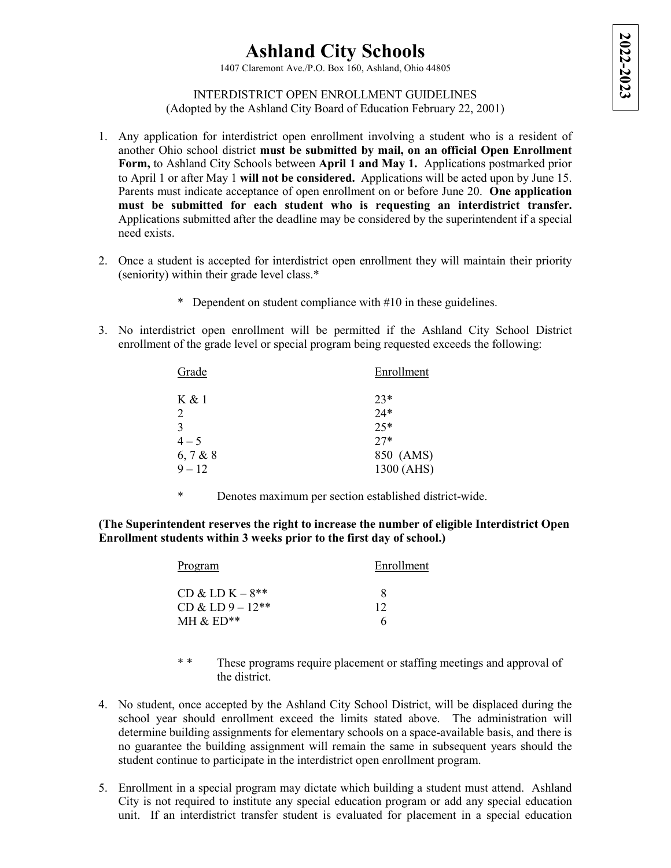## **Ashland City Schools**

1407 Claremont Ave./P.O. Box 160, Ashland, Ohio 44805

## INTERDISTRICT OPEN ENROLLMENT GUIDELINES (Adopted by the Ashland City Board of Education February 22, 2001)

- 1. Any application for interdistrict open enrollment involving a student who is a resident of another Ohio school district **must be submitted by mail, on an official Open Enrollment Form,** to Ashland City Schools between **April 1 and May 1.** Applications postmarked prior to April 1 or after May 1 **will not be considered.** Applications will be acted upon by June 15. Parents must indicate acceptance of open enrollment on or before June 20. **One application must be submitted for each student who is requesting an interdistrict transfer.**  Applications submitted after the deadline may be considered by the superintendent if a special need exists.
- 2. Once a student is accepted for interdistrict open enrollment they will maintain their priority (seniority) within their grade level class.\*
	- \* Dependent on student compliance with #10 in these guidelines.
- 3. No interdistrict open enrollment will be permitted if the Ashland City School District enrollment of the grade level or special program being requested exceeds the following:

| Enrollment |
|------------|
| $23*$      |
| $24*$      |
| $25*$      |
| $27*$      |
| 850 (AMS)  |
| 1300 (AHS) |
|            |

\* Denotes maximum per section established district-wide.

**(The Superintendent reserves the right to increase the number of eligible Interdistrict Open Enrollment students within 3 weeks prior to the first day of school.)**

| <b>Program</b>      | Enrollment |
|---------------------|------------|
| $CD & CD K - 8**$   | х          |
| $CD & L D 9 - 12**$ | 12         |
| MH $\&$ ED**        | h          |

- \* \* These programs require placement or staffing meetings and approval of the district.
- 4. No student, once accepted by the Ashland City School District, will be displaced during the school year should enrollment exceed the limits stated above. The administration will determine building assignments for elementary schools on a space-available basis, and there is no guarantee the building assignment will remain the same in subsequent years should the student continue to participate in the interdistrict open enrollment program.
- 5. Enrollment in a special program may dictate which building a student must attend. Ashland City is not required to institute any special education program or add any special education unit. If an interdistrict transfer student is evaluated for placement in a special education